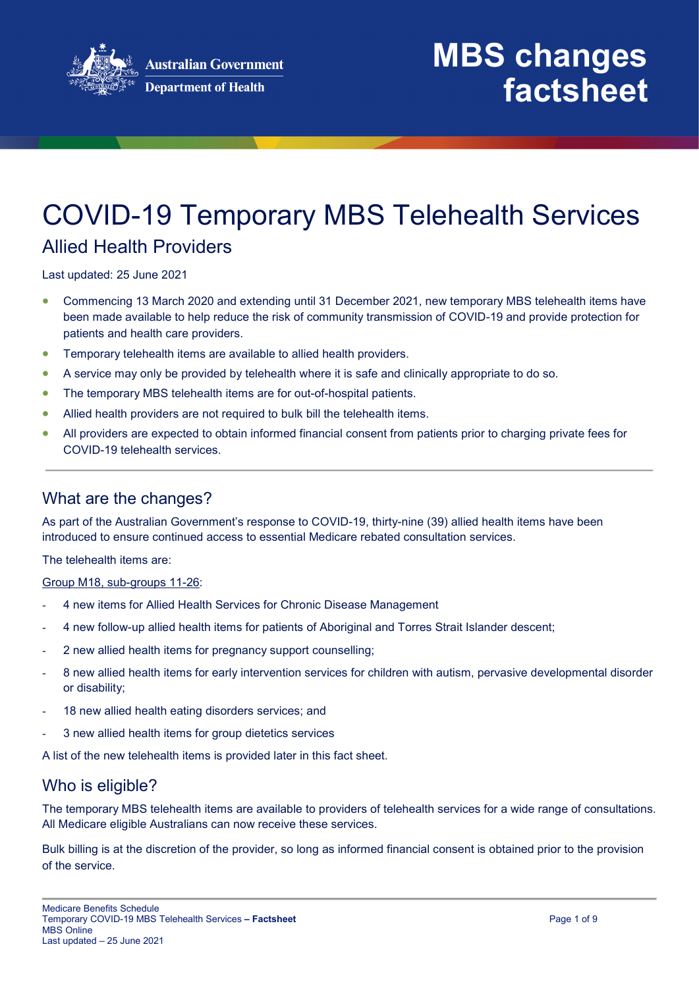

# COVID-19 Temporary MBS Telehealth Services

### Allied Health Providers

Last updated: 25 June 2021

- Commencing 13 March 2020 and extending until 31 December 2021, new temporary MBS telehealth items have been made available to help reduce the risk of community transmission of COVID-19 and provide protection for patients and health care providers.
- Temporary telehealth items are available to allied health providers.
- A service may only be provided by telehealth where it is safe and clinically appropriate to do so.
- The temporary MBS telehealth items are for out-of-hospital patients.
- Allied health providers are not required to bulk bill the telehealth items.
- All providers are expected to obtain informed financial consent from patients prior to charging private fees for COVID-19 telehealth services.

#### What are the changes?

As part of the Australian Government's response to COVID-19, thirty-nine (39) allied health items have been introduced to ensure continued access to essential Medicare rebated consultation services.

The telehealth items are:

Group M18, sub-groups 11-26:

- 4 new items for Allied Health Services for Chronic Disease Management
- 4 new follow-up allied health items for patients of Aboriginal and Torres Strait Islander descent;
- 2 new allied health items for pregnancy support counselling:
- 8 new allied health items for early intervention services for children with autism, pervasive developmental disorder or disability;
- 18 new allied health eating disorders services; and
- 3 new allied health items for group dietetics services

A list of the new telehealth items is provided later in this fact sheet.

#### Who is eligible?

The temporary MBS telehealth items are available to providers of telehealth services for a wide range of consultations. All Medicare eligible Australians can now receive these services.

Bulk billing is at the discretion of the provider, so long as informed financial consent is obtained prior to the provision of the service.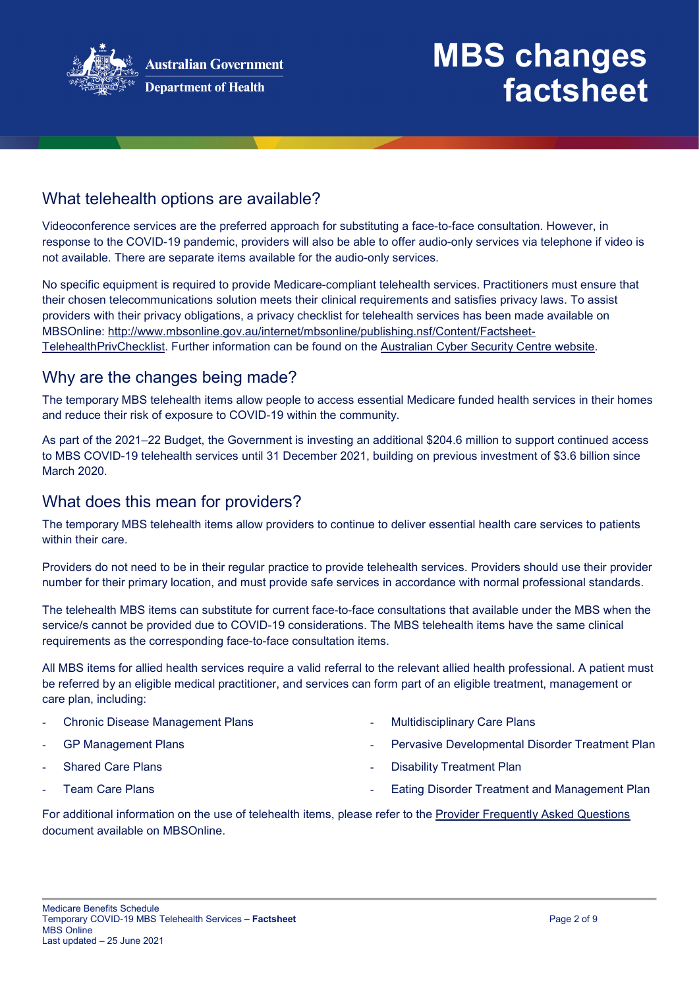

#### What telehealth options are available?

Videoconference services are the preferred approach for substituting a face-to-face consultation. However, in response to the COVID-19 pandemic, providers will also be able to offer audio-only services via telephone if video is not available. There are separate items available for the audio-only services.

No specific equipment is required to provide Medicare-compliant telehealth services. Practitioners must ensure that their chosen telecommunications solution meets their clinical requirements and satisfies privacy laws. To assist providers with their privacy obligations, a privacy checklist for telehealth services has been made available on MBSOnline: [http://www.mbsonline.gov.au/internet/mbsonline/publishing.nsf/Content/Factsheet-](http://www.mbsonline.gov.au/internet/mbsonline/publishing.nsf/Content/Factsheet-TelehealthPrivChecklist)[TelehealthPrivChecklist.](http://www.mbsonline.gov.au/internet/mbsonline/publishing.nsf/Content/Factsheet-TelehealthPrivChecklist) Further information can be found on the [Australian Cyber Security Centre website.](https://www.cyber.gov.au/)

#### Why are the changes being made?

The temporary MBS telehealth items allow people to access essential Medicare funded health services in their homes and reduce their risk of exposure to COVID-19 within the community.

As part of the 2021–22 Budget, the Government is investing an additional \$204.6 million to support continued access to MBS COVID-19 telehealth services until 31 December 2021, building on previous investment of \$3.6 billion since March 2020.

#### What does this mean for providers?

The temporary MBS telehealth items allow providers to continue to deliver essential health care services to patients within their care.

Providers do not need to be in their regular practice to provide telehealth services. Providers should use their provider number for their primary location, and must provide safe services in accordance with normal professional standards.

The telehealth MBS items can substitute for current face-to-face consultations that available under the MBS when the service/s cannot be provided due to COVID-19 considerations. The MBS telehealth items have the same clinical requirements as the corresponding face-to-face consultation items.

All MBS items for allied health services require a valid referral to the relevant allied health professional. A patient must be referred by an eligible medical practitioner, and services can form part of an eligible treatment, management or care plan, including:

- **Chronic Disease Management Plans** GP Management Plans Shared Care Plans Multidisciplinary Care Plans Pervasive Developmental Disorder Treatment Plan Disability Treatment Plan
- Team Care Plans

Eating Disorder Treatment and Management Plan

For additional information on the use of telehealth items, please refer to the [Provider Frequently Asked Questions](http://www.mbsonline.gov.au/internet/mbsonline/publishing.nsf/Content/Factsheet-TempBB) document available on MBSOnline.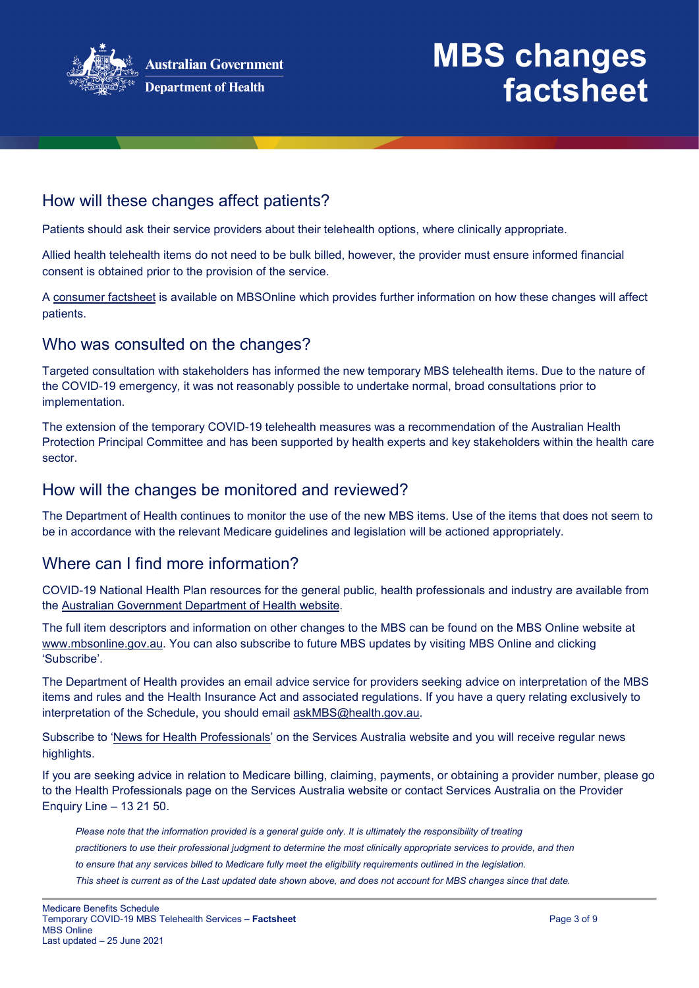

#### How will these changes affect patients?

Patients should ask their service providers about their telehealth options, where clinically appropriate.

Allied health telehealth items do not need to be bulk billed, however, the provider must ensure informed financial consent is obtained prior to the provision of the service.

A [consumer factsheet](http://www.mbsonline.gov.au/internet/mbsonline/publishing.nsf/Content/Factsheet-TempBB) is available on MBSOnline which provides further information on how these changes will affect patients.

#### Who was consulted on the changes?

Targeted consultation with stakeholders has informed the new temporary MBS telehealth items. Due to the nature of the COVID-19 emergency, it was not reasonably possible to undertake normal, broad consultations prior to implementation.

The extension of the temporary COVID-19 telehealth measures was a recommendation of the Australian Health Protection Principal Committee and has been supported by health experts and key stakeholders within the health care sector.

#### How will the changes be monitored and reviewed?

The Department of Health continues to monitor the use of the new MBS items. Use of the items that does not seem to be in accordance with the relevant Medicare guidelines and legislation will be actioned appropriately.

#### Where can I find more information?

COVID-19 National Health Plan resources for the general public, health professionals and industry are available from the [Australian Government Department of Health website.](https://www.health.gov.au/resources/collections/coronavirus-covid-19-national-health-plan-resources)

The full item descriptors and information on other changes to the MBS can be found on the MBS Online website at [www.mbsonline.gov.au.](http://www.mbsonline.gov.au/) You can also subscribe to future MBS updates by visiting [MBS Online](http://www.mbsonline.gov.au/) and clicking 'Subscribe'.

The Department of Health provides an email advice service for providers seeking advice on interpretation of the MBS items and rules and the Health Insurance Act and associated regulations. If you have a query relating exclusively to interpretation of the Schedule, you should email [askMBS@health.gov.au.](mailto:askMBS@health.gov.au)

Subscribe to ['News for Health Professionals'](https://www.humanservices.gov.au/organisations/health-professionals/news/all) on the Services Australia website and you will receive regular news highlights.

If you are seeking advice in relation to Medicare billing, claiming, payments, or obtaining a provider number, please go to the Health Professionals page on the Services Australia website or contact Services Australia on the Provider Enquiry Line – 13 21 50.

*Please note that the information provided is a general guide only. It is ultimately the responsibility of treating practitioners to use their professional judgment to determine the most clinically appropriate services to provide, and then to ensure that any services billed to Medicare fully meet the eligibility requirements outlined in the legislation. This sheet is current as of the Last updated date shown above, and does not account for MBS changes since that date.*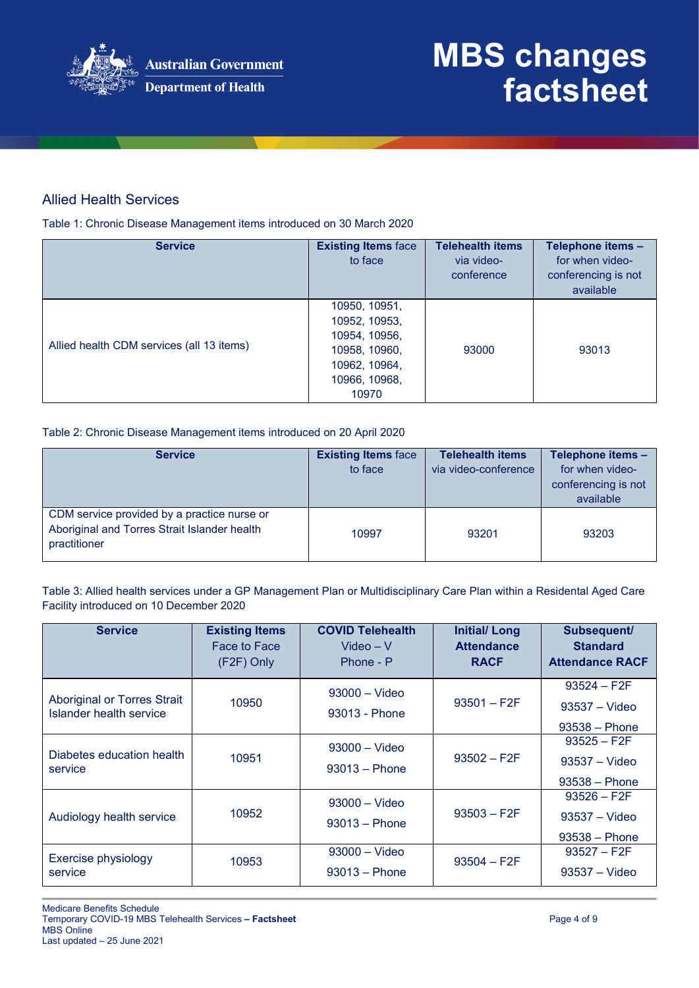

#### Allied Health Services

Table 1: Chronic Disease Management items introduced on 30 March 2020

| <b>Service</b>                            | <b>Existing Items face</b><br>to face                                                                       | <b>Telehealth items</b><br>via video-<br>conference | Telephone items -<br>for when video-<br>conferencing is not<br>available |
|-------------------------------------------|-------------------------------------------------------------------------------------------------------------|-----------------------------------------------------|--------------------------------------------------------------------------|
| Allied health CDM services (all 13 items) | 10950, 10951,<br>10952, 10953,<br>10954, 10956,<br>10958, 10960,<br>10962, 10964,<br>10966, 10968,<br>10970 | 93000                                               | 93013                                                                    |

Table 2: Chronic Disease Management items introduced on 20 April 2020

| <b>Service</b>                                                                                              | <b>Existing Items face</b><br>to face | <b>Telehealth items</b><br>via video-conference | Telephone items -<br>for when video-<br>conferencing is not<br>available |
|-------------------------------------------------------------------------------------------------------------|---------------------------------------|-------------------------------------------------|--------------------------------------------------------------------------|
| CDM service provided by a practice nurse or<br>Aboriginal and Torres Strait Islander health<br>practitioner | 10997                                 | 93201                                           | 93203                                                                    |

Table 3: Allied health services under a GP Management Plan or Multidisciplinary Care Plan within a Residental Aged Care Facility introduced on 10 December 2020

| <b>Service</b>                                         | <b>Existing Items</b><br>Face to Face<br>(F2F) Only | <b>COVID Telehealth</b><br>$Video - V$<br>Phone - P | <b>Initial/Long</b><br><b>Attendance</b><br><b>RACF</b> | Subsequent/<br><b>Standard</b><br><b>Attendance RACF</b> |
|--------------------------------------------------------|-----------------------------------------------------|-----------------------------------------------------|---------------------------------------------------------|----------------------------------------------------------|
| Aboriginal or Torres Strait<br>Islander health service | 10950                                               | $93000 -$ Video<br>93013 - Phone                    | $93501 - F2F$                                           | $93524 - F2F$<br>$93537 - Video$<br>$93538 - Phone$      |
| Diabetes education health<br>service                   | 10951                                               | $93000 -$ Video<br>$93013 - Phone$                  | $93502 - F2F$                                           | $93525 - F2F$<br>$93537 - Video$<br>$93538 - Phone$      |
| Audiology health service                               | 10952                                               | $93000 -$ Video<br>$93013 - Phone$                  | $93503 - F2F$                                           | $93526 - F2F$<br>$93537 - Video$<br>$93538 - Phone$      |
| Exercise physiology<br>service                         | 10953                                               | $93000 - Video$<br>$93013 - Phone$                  | $93504 - F2F$                                           | $93527 - F2F$<br>$93537 - Video$                         |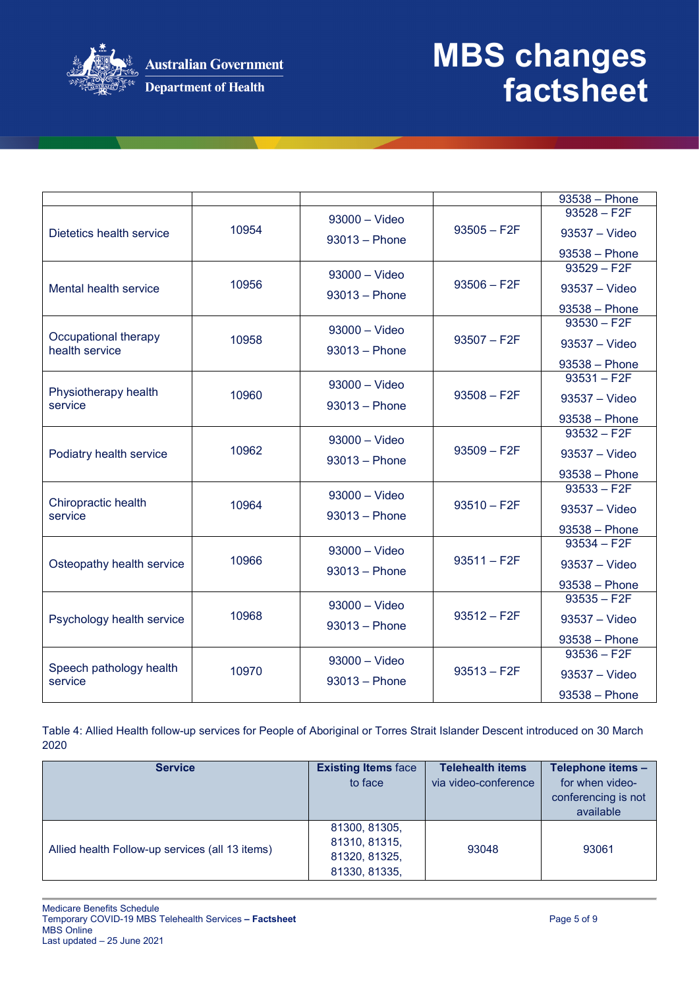

|                                |       |                 |               | 93538 - Phone                    |
|--------------------------------|-------|-----------------|---------------|----------------------------------|
|                                |       | $93000 - Video$ |               | $93528 - F2F$                    |
| Dietetics health service       | 10954 |                 | $93505 - F2F$ | 93537 - Video                    |
|                                |       | $93013 - Phone$ |               |                                  |
|                                |       |                 |               | 93538 - Phone<br>$93529 - F2F$   |
|                                |       | $93000 -$ Video |               |                                  |
| Mental health service          | 10956 | $93013 - Phone$ | $93506 - F2F$ | $93537 - Video$                  |
|                                |       |                 |               | $93538 - Phone$                  |
|                                |       | $93000 -$ Video |               | $93530 - F2F$                    |
| Occupational therapy           | 10958 |                 | $93507 - F2F$ | $93537 - Video$                  |
| health service                 |       | $93013 - Phone$ |               |                                  |
|                                |       |                 |               | $93538 - Phone$<br>$93531 - F2F$ |
| Physiotherapy health           |       | $93000 - Video$ |               |                                  |
| service                        | 10960 | $93013 - Phone$ | $93508 - F2F$ | $93537 - Video$                  |
|                                |       |                 |               | 93538 - Phone                    |
|                                |       | $93000 - Video$ |               | $93532 - F2F$                    |
| Podiatry health service        | 10962 |                 | $93509 - F2F$ | 93537 - Video                    |
|                                |       | $93013 - Phone$ |               |                                  |
|                                |       |                 |               | 93538 - Phone                    |
|                                |       | $93000 - Video$ |               | $93533 - F2F$                    |
| Chiropractic health<br>service | 10964 | $93013 - Phone$ | $93510 - F2F$ | 93537 - Video                    |
|                                |       |                 |               | 93538 - Phone                    |
|                                |       |                 |               | $93534 - F2F$                    |
|                                | 10966 | $93000 - Video$ | $93511 - F2F$ |                                  |
| Osteopathy health service      |       | $93013 - Phone$ |               | 93537 - Video                    |
|                                |       |                 |               | $93538 - Phone$                  |
|                                |       | $93000 - Video$ |               | $93535 - F2F$                    |
| Psychology health service      | 10968 |                 | $93512 - F2F$ | 93537 - Video                    |
|                                |       | $93013 - Phone$ |               | 93538 - Phone                    |
|                                |       |                 |               | $93536 - F2F$                    |
| Speech pathology health        | 10970 | $93000 - Video$ | $93513 - F2F$ |                                  |
| service                        |       | $93013 - Phone$ |               | 93537 - Video                    |
|                                |       |                 |               | 93538 - Phone                    |

Table 4: Allied Health follow-up services for People of Aboriginal or Torres Strait Islander Descent introduced on 30 March 2020

| <b>Service</b>                                  | <b>Existing Items face</b><br>to face                            | <b>Telehealth items</b><br>via video-conference | Telephone items -<br>for when video-<br>conferencing is not<br>available |
|-------------------------------------------------|------------------------------------------------------------------|-------------------------------------------------|--------------------------------------------------------------------------|
| Allied health Follow-up services (all 13 items) | 81300, 81305,<br>81310, 81315,<br>81320, 81325,<br>81330, 81335, | 93048                                           | 93061                                                                    |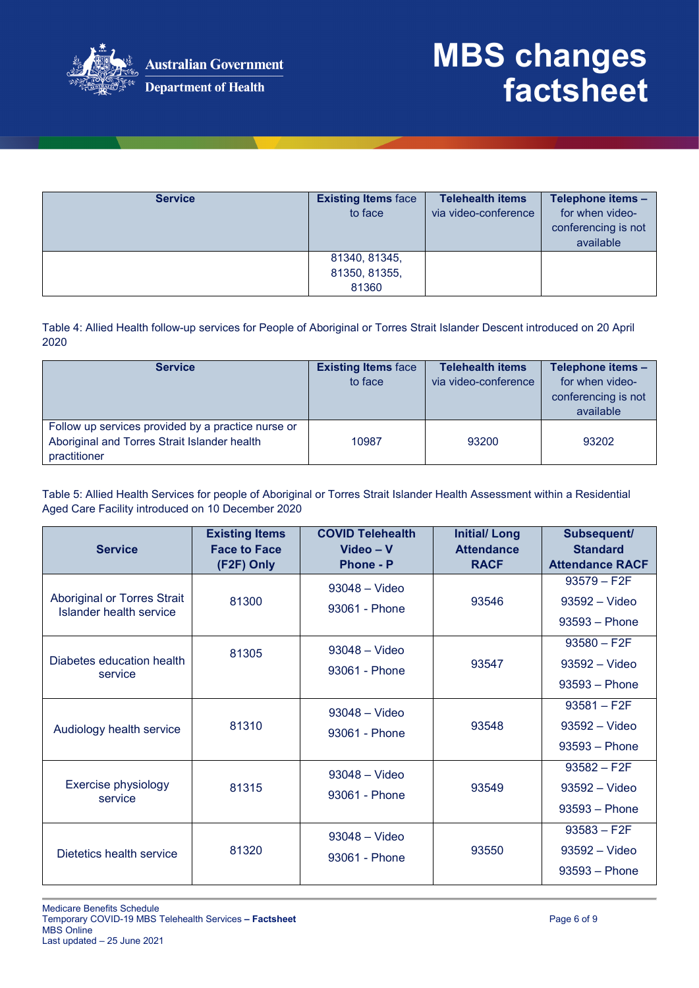

| <b>Service</b> | <b>Existing Items face</b> | <b>Telehealth items</b> | Telephone items -   |
|----------------|----------------------------|-------------------------|---------------------|
|                | to face                    | via video-conference    | for when video-     |
|                |                            |                         | conferencing is not |
|                |                            |                         | available           |
|                | 81340, 81345,              |                         |                     |
|                | 81350, 81355,              |                         |                     |
|                | 81360                      |                         |                     |

Table 4: Allied Health follow-up services for People of Aboriginal or Torres Strait Islander Descent introduced on 20 April 2020

| <b>Service</b>                                                                                                     | <b>Existing Items face</b><br>to face | <b>Telehealth items</b><br>via video-conference | Telephone items -<br>for when video-<br>conferencing is not<br>available |
|--------------------------------------------------------------------------------------------------------------------|---------------------------------------|-------------------------------------------------|--------------------------------------------------------------------------|
| Follow up services provided by a practice nurse or<br>Aboriginal and Torres Strait Islander health<br>practitioner | 10987                                 | 93200                                           | 93202                                                                    |

Table 5: Allied Health Services for people of Aboriginal or Torres Strait Islander Health Assessment within a Residential Aged Care Facility introduced on 10 December 2020

| <b>Service</b>                                         | <b>Existing Items</b><br><b>Face to Face</b><br>(F2F) Only | <b>COVID Telehealth</b><br>Video - V<br><b>Phone - P</b> | <b>Initial/Long</b><br><b>Attendance</b><br><b>RACF</b> | Subsequent/<br><b>Standard</b><br><b>Attendance RACF</b> |
|--------------------------------------------------------|------------------------------------------------------------|----------------------------------------------------------|---------------------------------------------------------|----------------------------------------------------------|
| Aboriginal or Torres Strait<br>Islander health service | 81300                                                      | $93048 - Video$<br>93061 - Phone                         | 93546                                                   | $93579 - F2F$<br>$93592 - Video$<br>$93593 - Phone$      |
| Diabetes education health<br>service                   | 81305                                                      | $93048 - Video$<br>93061 - Phone                         | 93547                                                   | $93580 - F2F$<br>93592 - Video<br>$93593 - Phone$        |
| Audiology health service                               | 81310                                                      | $93048 - Video$<br>93061 - Phone                         | 93548                                                   | $93581 - F2F$<br>$93592 - Video$<br>$93593 - Phone$      |
| Exercise physiology<br>service                         | 81315                                                      | 93048 - Video<br>93061 - Phone                           | 93549                                                   | $93582 - F2F$<br>93592 - Video<br>$93593 - Phone$        |
| Dietetics health service                               | 81320                                                      | $93048 - Video$<br>93061 - Phone                         | 93550                                                   | $93583 - F2F$<br>$93592 - Video$<br>$93593 - Phone$      |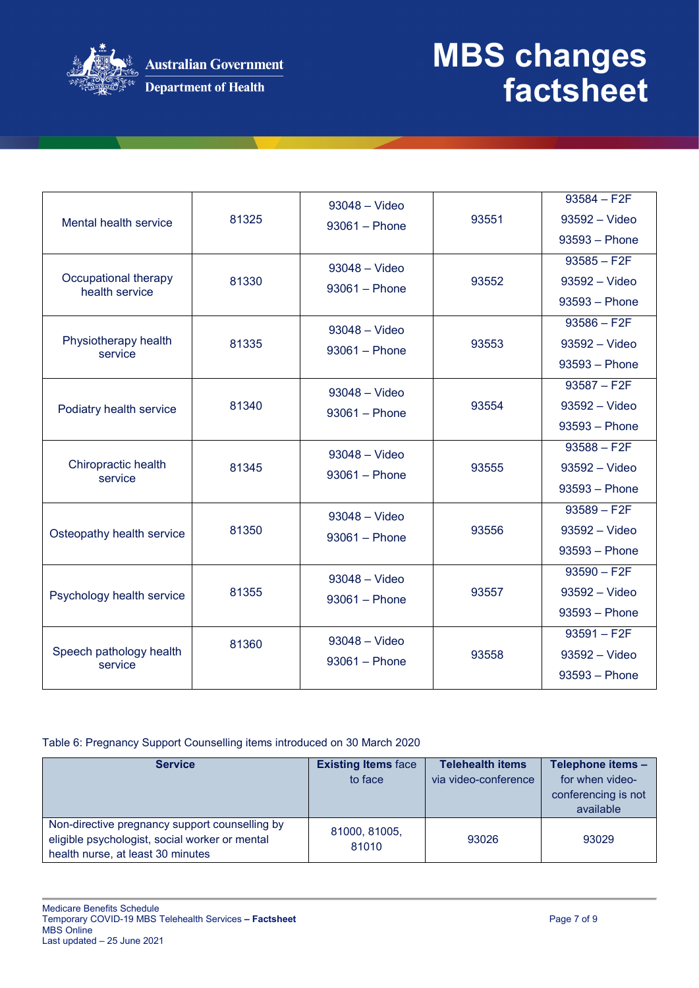

| Mental health service                  | 81325 | $93048 - Video$<br>$93061 - Phone$ | 93551 | $93584 - F2F$<br>93592 - Video<br>$93593 - Phone$<br>$93585 - F2F$ |
|----------------------------------------|-------|------------------------------------|-------|--------------------------------------------------------------------|
| Occupational therapy<br>health service | 81330 | $93048 - Video$<br>$93061 - Phone$ | 93552 | 93592 - Video<br>$93593 - Phone$                                   |
| Physiotherapy health<br>service        | 81335 | $93048 - Video$<br>$93061 - Phone$ | 93553 | $93586 - F2F$<br>93592 - Video<br>$93593 - Phone$                  |
| Podiatry health service                | 81340 | 93048 - Video<br>$93061 - Phone$   | 93554 | $93587 - F2F$<br>93592 - Video<br>$93593 - Phone$                  |
| Chiropractic health<br>service         | 81345 | $93048 - Video$<br>$93061 - Phone$ | 93555 | $93588 - F2F$<br>$93592 - Video$<br>93593 - Phone                  |
| Osteopathy health service              | 81350 | $93048 - Video$<br>$93061 - Phone$ | 93556 | $93589 - F2F$<br>93592 - Video<br>$93593 - Phone$                  |
| Psychology health service              | 81355 | $93048 - Video$<br>$93061 - Phone$ | 93557 | $93590 - F2F$<br>93592 - Video<br>$93593 - Phone$                  |
| Speech pathology health<br>service     | 81360 | $93048 - Video$<br>$93061 - Phone$ | 93558 | $93591 - F2F$<br>93592 - Video<br>$93593 - Phone$                  |

#### Table 6: Pregnancy Support Counselling items introduced on 30 March 2020

| <b>Service</b>                                                                                                                        | <b>Existing Items face</b> | <b>Telehealth items</b> | Telephone items -                |
|---------------------------------------------------------------------------------------------------------------------------------------|----------------------------|-------------------------|----------------------------------|
|                                                                                                                                       | to face                    | via video-conference    | for when video-                  |
|                                                                                                                                       |                            |                         | conferencing is not<br>available |
| Non-directive pregnancy support counselling by<br>eligible psychologist, social worker or mental<br>health nurse, at least 30 minutes | 81000, 81005,<br>81010     | 93026                   | 93029                            |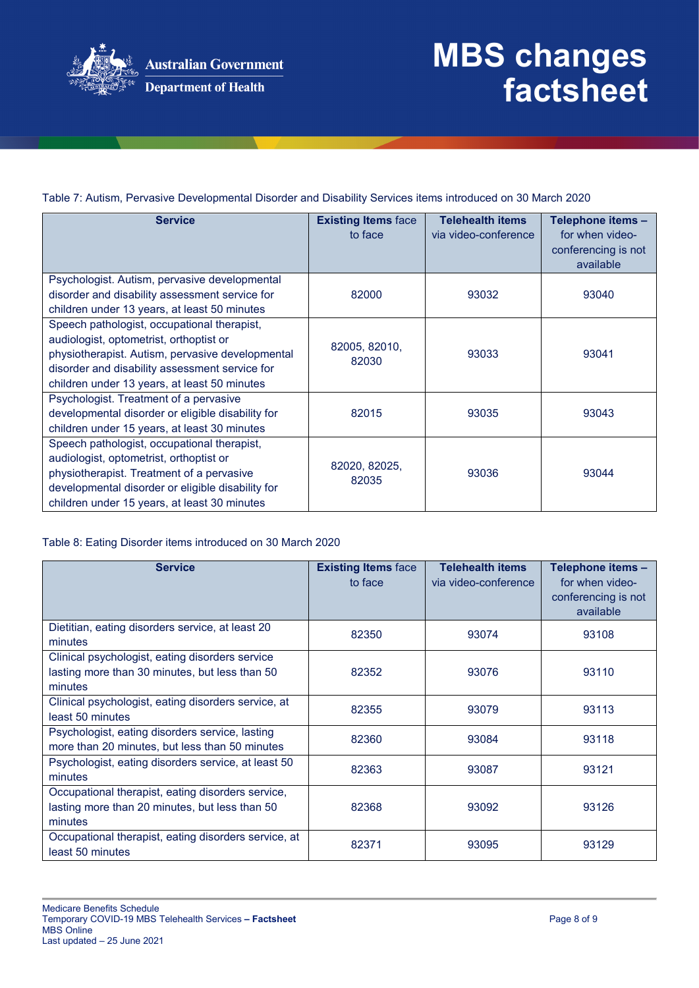

Table 7: Autism, Pervasive Developmental Disorder and Disability Services items introduced on 30 March 2020

| <b>Service</b>                                                                                                                                                                                                                               | <b>Existing Items face</b><br>to face | <b>Telehealth items</b><br>via video-conference | Telephone items -<br>for when video-<br>conferencing is not<br>available |
|----------------------------------------------------------------------------------------------------------------------------------------------------------------------------------------------------------------------------------------------|---------------------------------------|-------------------------------------------------|--------------------------------------------------------------------------|
| Psychologist. Autism, pervasive developmental<br>disorder and disability assessment service for<br>children under 13 years, at least 50 minutes                                                                                              | 82000                                 | 93032                                           | 93040                                                                    |
| Speech pathologist, occupational therapist,<br>audiologist, optometrist, orthoptist or<br>physiotherapist. Autism, pervasive developmental<br>disorder and disability assessment service for<br>children under 13 years, at least 50 minutes | 82005, 82010,<br>82030                | 93033                                           | 93041                                                                    |
| Psychologist. Treatment of a pervasive<br>developmental disorder or eligible disability for<br>children under 15 years, at least 30 minutes                                                                                                  | 82015                                 | 93035                                           | 93043                                                                    |
| Speech pathologist, occupational therapist,<br>audiologist, optometrist, orthoptist or<br>physiotherapist. Treatment of a pervasive<br>developmental disorder or eligible disability for<br>children under 15 years, at least 30 minutes     | 82020, 82025,<br>82035                | 93036                                           | 93044                                                                    |

Table 8: Eating Disorder items introduced on 30 March 2020

| <b>Service</b>                                                                                                 | <b>Existing Items face</b><br>to face | <b>Telehealth items</b><br>via video-conference | Telephone items -<br>for when video-<br>conferencing is not<br>available |
|----------------------------------------------------------------------------------------------------------------|---------------------------------------|-------------------------------------------------|--------------------------------------------------------------------------|
| Dietitian, eating disorders service, at least 20<br>minutes                                                    | 82350                                 | 93074                                           | 93108                                                                    |
| Clinical psychologist, eating disorders service<br>lasting more than 30 minutes, but less than 50<br>minutes   | 82352                                 | 93076                                           | 93110                                                                    |
| Clinical psychologist, eating disorders service, at<br>least 50 minutes                                        | 82355                                 | 93079                                           | 93113                                                                    |
| Psychologist, eating disorders service, lasting<br>more than 20 minutes, but less than 50 minutes              | 82360                                 | 93084                                           | 93118                                                                    |
| Psychologist, eating disorders service, at least 50<br>minutes                                                 | 82363                                 | 93087                                           | 93121                                                                    |
| Occupational therapist, eating disorders service,<br>lasting more than 20 minutes, but less than 50<br>minutes | 82368                                 | 93092                                           | 93126                                                                    |
| Occupational therapist, eating disorders service, at<br>least 50 minutes                                       | 82371                                 | 93095                                           | 93129                                                                    |